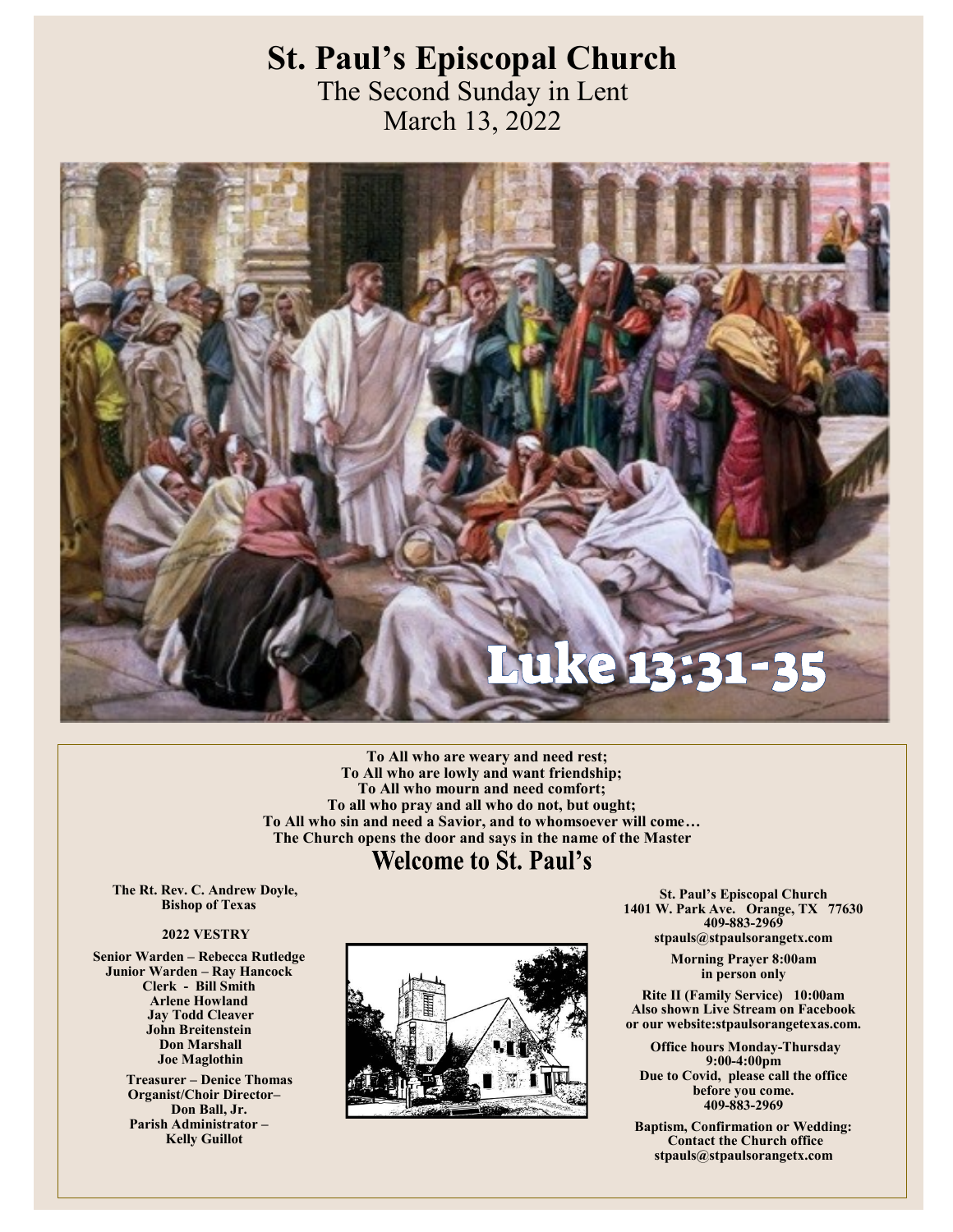# **St. Paul's Episcopal Church**

The Second Sunday in Lent March 13, 2022



 **To All who are weary and need rest; To All who are lowly and want friendship; To All who mourn and need comfort; To all who pray and all who do not, but ought; To All who sin and need a Savior, and to whomsoever will come… The Church opens the door and says in the name of the Master**

# **Welcome to St. Paul's**

 **The Rt. Rev. C. Andrew Doyle, Bishop of Texas** 

## **2022 VESTRY**

**Senior Warden – Rebecca Rutledge Junior Warden – Ray Hancock Clerk - Bill Smith Arlene Howland Jay Todd Cleaver John Breitenstein Don Marshall Joe Maglothin** 

> **Treasurer – Denice Thomas Organist/Choir Director– Don Ball, Jr. Parish Administrator – Kelly Guillot**



**St. Paul's Episcopal Church 1401 W. Park Ave. Orange, TX 77630 409-883-2969 stpauls@stpaulsorangetx.com**

> **Morning Prayer 8:00am in person only**

**Rite II (Family Service) 10:00am Also shown Live Stream on Facebook or our website:stpaulsorangetexas.com.**

 **Office hours Monday-Thursday 9:00-4:00pm Due to Covid, please call the office before you come. 409-883-2969**

**Baptism, Confirmation or Wedding: Contact the Church office stpauls@stpaulsorangetx.com**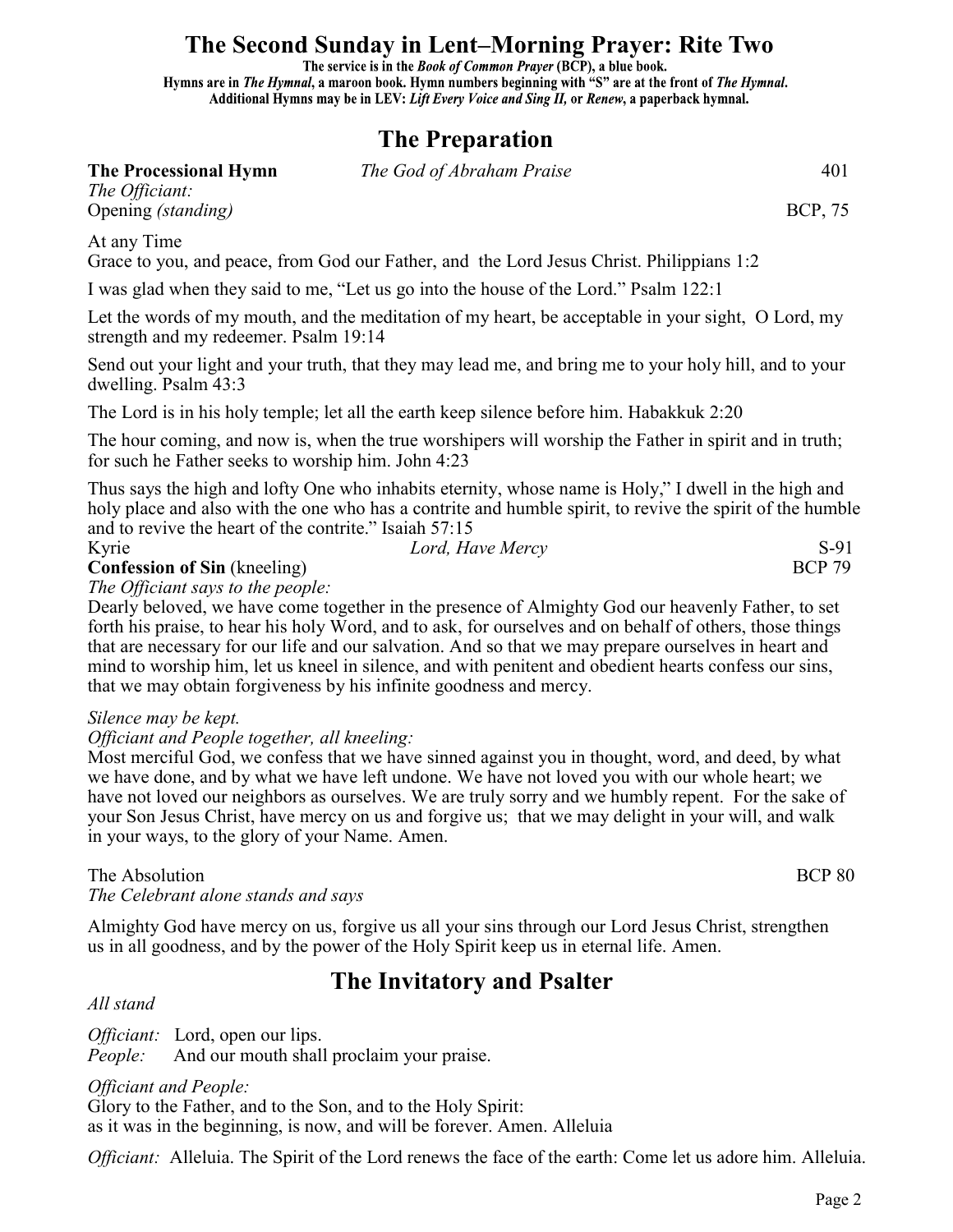# **The Second Sunday in Lent–Morning Prayer: Rite Two**<br>The service is in the *Book of Common Prayer* (BCP), a blue book.

Hymns are in *The Hymnal*, a maroon book. Hymn numbers beginning with "S" are at the front of The Hymnal. Additional Hymns may be in LEV: Lift Every Voice and Sing II, or Renew, a paperback hymnal.

# **The Preparation**

### **The Processional Hymn** *The God of Abraham Praise* 401

*The Officiant:* Opening *(standing)* **BCP**, 75

At any Time

Grace to you, and peace, from God our Father, and the Lord Jesus Christ. Philippians 1:2

I was glad when they said to me, "Let us go into the house of the Lord." Psalm 122:1

Let the words of my mouth, and the meditation of my heart, be acceptable in your sight, O Lord, my strength and my redeemer. Psalm 19:14

Send out your light and your truth, that they may lead me, and bring me to your holy hill, and to your dwelling. Psalm 43:3

The Lord is in his holy temple; let all the earth keep silence before him. Habakkuk 2:20

The hour coming, and now is, when the true worshipers will worship the Father in spirit and in truth; for such he Father seeks to worship him. John 4:23

Thus says the high and lofty One who inhabits eternity, whose name is Holy," I dwell in the high and holy place and also with the one who has a contrite and humble spirit, to revive the spirit of the humble and to revive the heart of the contrite." Isaiah 57:15

| Kyrie                               | Lord, Have Mercy | S-91          |
|-------------------------------------|------------------|---------------|
| <b>Confession of Sin</b> (kneeling) |                  | <b>BCP 79</b> |
| The Officiant says to the people:   |                  |               |

Dearly beloved, we have come together in the presence of Almighty God our heavenly Father, to set forth his praise, to hear his holy Word, and to ask, for ourselves and on behalf of others, those things that are necessary for our life and our salvation. And so that we may prepare ourselves in heart and mind to worship him, let us kneel in silence, and with penitent and obedient hearts confess our sins, that we may obtain forgiveness by his infinite goodness and mercy.

### *Silence may be kept.*

### *Officiant and People together, all kneeling:*

Most merciful God, we confess that we have sinned against you in thought, word, and deed, by what we have done, and by what we have left undone. We have not loved you with our whole heart; we have not loved our neighbors as ourselves. We are truly sorry and we humbly repent. For the sake of your Son Jesus Christ, have mercy on us and forgive us; that we may delight in your will, and walk in your ways, to the glory of your Name. Amen.

The Absolution BCP 80

*The Celebrant alone stands and says*

Almighty God have mercy on us, forgive us all your sins through our Lord Jesus Christ, strengthen us in all goodness, and by the power of the Holy Spirit keep us in eternal life. Amen.

# **The Invitatory and Psalter**

*All stand*

*Officiant:* Lord, open our lips. *People:* And our mouth shall proclaim your praise.

### *Officiant and People:*

Glory to the Father, and to the Son, and to the Holy Spirit: as it was in the beginning, is now, and will be forever. Amen. Alleluia

*Officiant:* Alleluia. The Spirit of the Lord renews the face of the earth: Come let us adore him. Alleluia.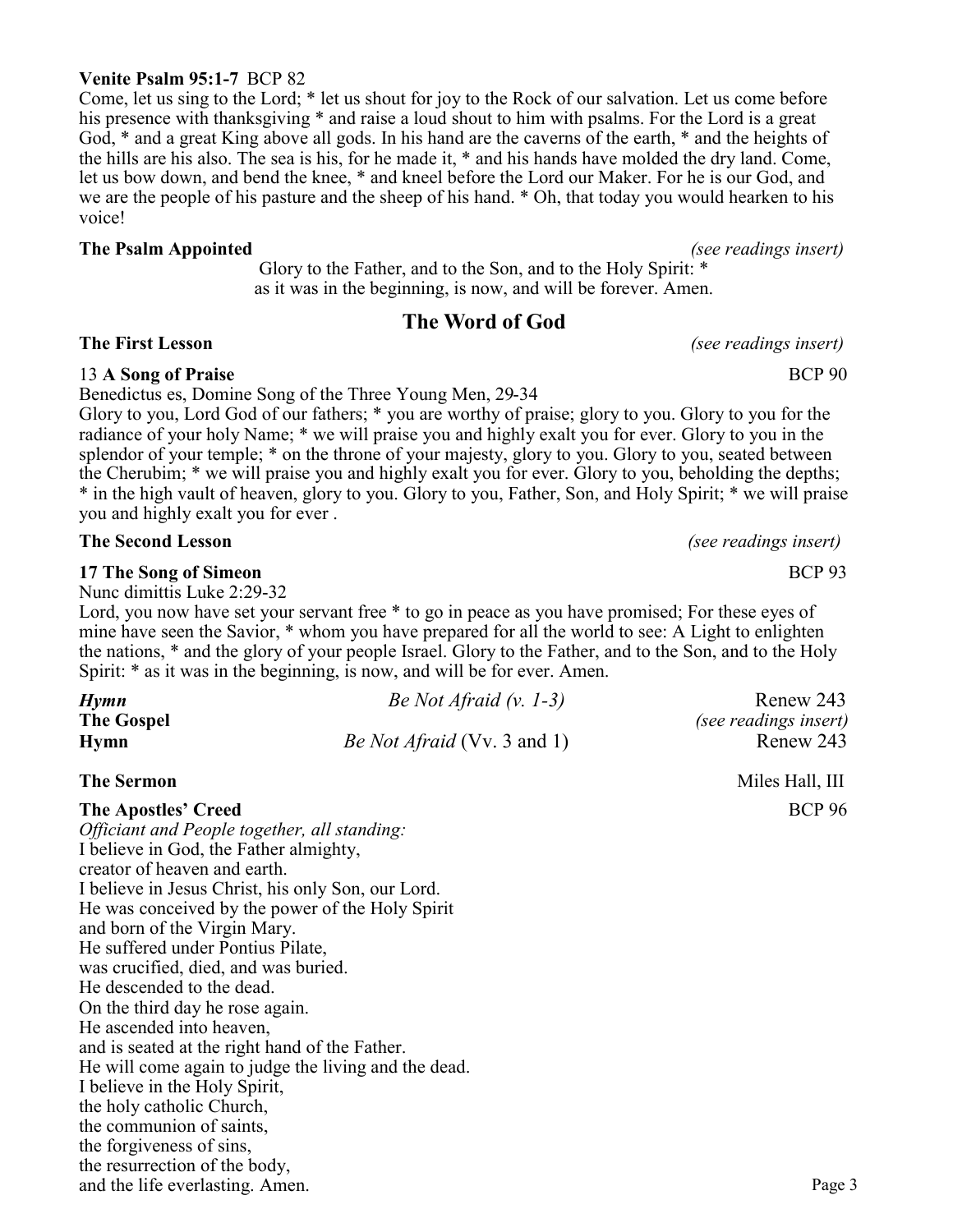### **Venite Psalm 95:1-7** BCP 82

Come, let us sing to the Lord; \* let us shout for joy to the Rock of our salvation. Let us come before his presence with thanksgiving \* and raise a loud shout to him with psalms. For the Lord is a great God, \* and a great King above all gods. In his hand are the caverns of the earth, \* and the heights of the hills are his also. The sea is his, for he made it, \* and his hands have molded the dry land. Come, let us bow down, and bend the knee, \* and kneel before the Lord our Maker. For he is our God, and we are the people of his pasture and the sheep of his hand. \* Oh, that today you would hearken to his voice! 

### **The Psalm Appointed** *(see readings insert)*

Glory to the Father, and to the Son, and to the Holy Spirit: \* as it was in the beginning, is now, and will be forever. Amen.

### **The Word of God**

13 **A Song of Praise** BCP 90 Benedictus es, Domine Song of the Three Young Men, 29-34

Glory to you, Lord God of our fathers; \* you are worthy of praise; glory to you. Glory to you for the radiance of your holy Name; \* we will praise you and highly exalt you for ever. Glory to you in the splendor of your temple; \* on the throne of your majesty, glory to you. Glory to you, seated between the Cherubim; \* we will praise you and highly exalt you for ever. Glory to you, beholding the depths; \* in the high vault of heaven, glory to you. Glory to you, Father, Son, and Holy Spirit; \* we will praise you and highly exalt you for ever .

### **The Second Lesson** *(see readings insert)*

### **17 The Song of Simeon BCP 93**

Nunc dimittis Luke 2:29-32

Lord, you now have set your servant free  $*$  to go in peace as you have promised; For these eyes of mine have seen the Savior, \* whom you have prepared for all the world to see: A Light to enlighten the nations, \* and the glory of your people Israel. Glory to the Father, and to the Son, and to the Holy Spirit: \* as it was in the beginning, is now, and will be for ever. Amen.

| Hymn              | Be Not Afraid $(v. 1-3)$           | Renew 243             |
|-------------------|------------------------------------|-----------------------|
| <b>The Gospel</b> |                                    | (see readings insert) |
| Hymn              | <i>Be Not Afraid</i> (Vv. 3 and 1) | Renew 243             |

### **The Apostles' Creed BCP 96**

*Officiant and People together, all standing:* I believe in God, the Father almighty, creator of heaven and earth. I believe in Jesus Christ, his only Son, our Lord. He was conceived by the power of the Holy Spirit and born of the Virgin Mary. He suffered under Pontius Pilate, was crucified, died, and was buried. He descended to the dead. On the third day he rose again. He ascended into heaven, and is seated at the right hand of the Father. He will come again to judge the living and the dead. I believe in the Holy Spirit, the holy catholic Church, the communion of saints, the forgiveness of sins, the resurrection of the body, and the life everlasting. Amen. **Page 3** and the life everlasting. Amen.

**The First Lesson** *(see readings insert)*

**The Sermon Miles Hall, III**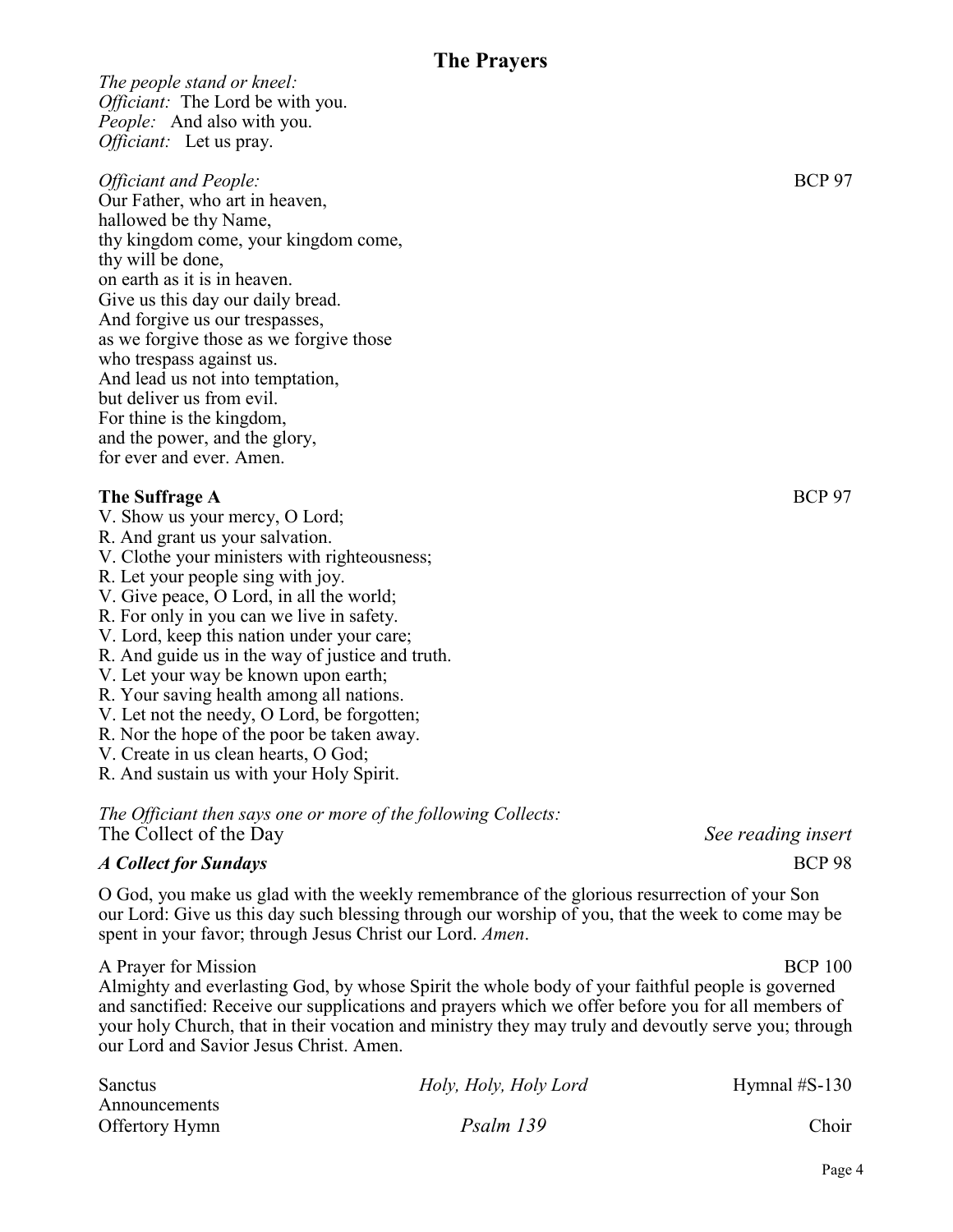*The people stand or kneel: Officiant:* The Lord be with you. *People:* And also with you. *Officiant:* Let us pray.

*Officiant and People:* **BCP 97** Our Father, who art in heaven, hallowed be thy Name, thy kingdom come, your kingdom come, thy will be done, on earth as it is in heaven. Give us this day our daily bread. And forgive us our trespasses, as we forgive those as we forgive those who trespass against us. And lead us not into temptation, but deliver us from evil. For thine is the kingdom, and the power, and the glory, for ever and ever. Amen.

### **The Suffrage A** BCP 97

- V. Show us your mercy, O Lord;
- R. And grant us your salvation.
- V. Clothe your ministers with righteousness;
- R. Let your people sing with joy.
- V. Give peace, O Lord, in all the world;
- R. For only in you can we live in safety.
- V. Lord, keep this nation under your care;
- R. And guide us in the way of justice and truth.
- V. Let your way be known upon earth;
- R. Your saving health among all nations.
- V. Let not the needy, O Lord, be forgotten;
- R. Nor the hope of the poor be taken away.
- V. Create in us clean hearts, O God;
- R. And sustain us with your Holy Spirit.

*The Officiant then says one or more of the following Collects:* The Collect of the Day *See reading insert*

### *A Collect for Sundays* BCP 98

O God, you make us glad with the weekly remembrance of the glorious resurrection of your Son our Lord: Give us this day such blessing through our worship of you, that the week to come may be spent in your favor; through Jesus Christ our Lord. *Amen*.

### A Prayer for Mission BCP 100

Almighty and everlasting God, by whose Spirit the whole body of your faithful people is governed and sanctified: Receive our supplications and prayers which we offer before you for all members of your holy Church, that in their vocation and ministry they may truly and devoutly serve you; through our Lord and Savior Jesus Christ. Amen.

| Sanctus              | Holy, Holy, Holy Lord | Hymnal $#S-130$ |
|----------------------|-----------------------|-----------------|
| <b>Announcements</b> |                       |                 |
| Offertory Hymn       | Psalm 139             | Choir           |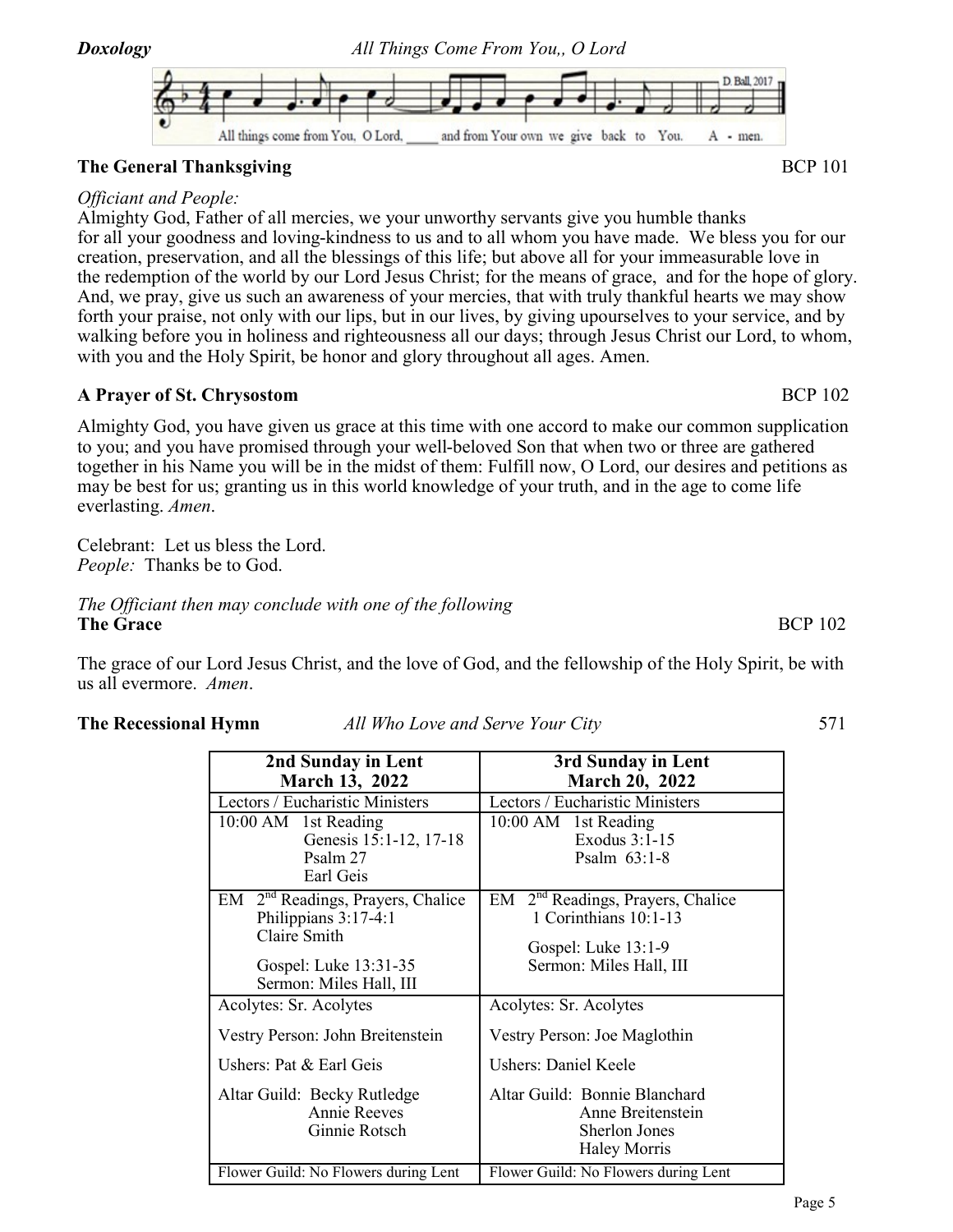

# **The General Thanksgiving BCP 101**

# *Officiant and People:*

Almighty God, Father of all mercies, we your unworthy servants give you humble thanks for all your goodness and loving-kindness to us and to all whom you have made. We bless you for our creation, preservation, and all the blessings of this life; but above all for your immeasurable love in the redemption of the world by our Lord Jesus Christ; for the means of grace, and for the hope of glory. And, we pray, give us such an awareness of your mercies, that with truly thankful hearts we may show forth your praise, not only with our lips, but in our lives, by giving upourselves to your service, and by walking before you in holiness and righteousness all our days; through Jesus Christ our Lord, to whom, with you and the Holy Spirit, be honor and glory throughout all ages. Amen.

# **A Prayer of St. Chrysostom** BCP 102

Almighty God, you have given us grace at this time with one accord to make our common supplication to you; and you have promised through your well-beloved Son that when two or three are gathered together in his Name you will be in the midst of them: Fulfill now, O Lord, our desires and petitions as may be best for us; granting us in this world knowledge of your truth, and in the age to come life everlasting. *Amen*.

Celebrant: Let us bless the Lord. *People:* Thanks be to God.

### *The Officiant then may conclude with one of the following* **The Grace** BCP 102

The grace of our Lord Jesus Christ, and the love of God, and the fellowship of the Holy Spirit, be with us all evermore. *Amen*.

**The Recessional Hymn** *All Who Love and Serve Your City* 571

| 2nd Sunday in Lent                            | 3rd Sunday in Lent                                  |
|-----------------------------------------------|-----------------------------------------------------|
| March 13, 2022                                | <b>March 20, 2022</b>                               |
| Lectors / Eucharistic Ministers               | Lectors / Eucharistic Ministers                     |
| 10:00 AM 1st Reading                          | 10:00 AM 1st Reading                                |
| Genesis 15:1-12, 17-18                        | Exodus 3:1-15                                       |
| Psalm 27                                      | Psalm $63:1-8$                                      |
| Earl Geis                                     |                                                     |
| EM 2 <sup>nd</sup> Readings, Prayers, Chalice | $\overline{EM}$ $2^{nd}$ Readings, Prayers, Chalice |
| Philippians 3:17-4:1                          | 1 Corinthians 10:1-13                               |
| Claire Smith                                  |                                                     |
|                                               | Gospel: Luke 13:1-9                                 |
| Gospel: Luke 13:31-35                         | Sermon: Miles Hall, III                             |
| Sermon: Miles Hall, III                       |                                                     |
| Acolytes: Sr. Acolytes                        | Acolytes: Sr. Acolytes                              |
| Vestry Person: John Breitenstein              | Vestry Person: Joe Maglothin                        |
| Ushers: Pat & Earl Geis                       | Ushers: Daniel Keele                                |
| Altar Guild: Becky Rutledge                   | Altar Guild: Bonnie Blanchard                       |
| <b>Annie Reeves</b>                           | Anne Breitenstein                                   |
| Ginnie Rotsch                                 | <b>Sherlon Jones</b>                                |
|                                               | <b>Haley Morris</b>                                 |
|                                               |                                                     |
| Flower Guild: No Flowers during Lent          | Flower Guild: No Flowers during Lent                |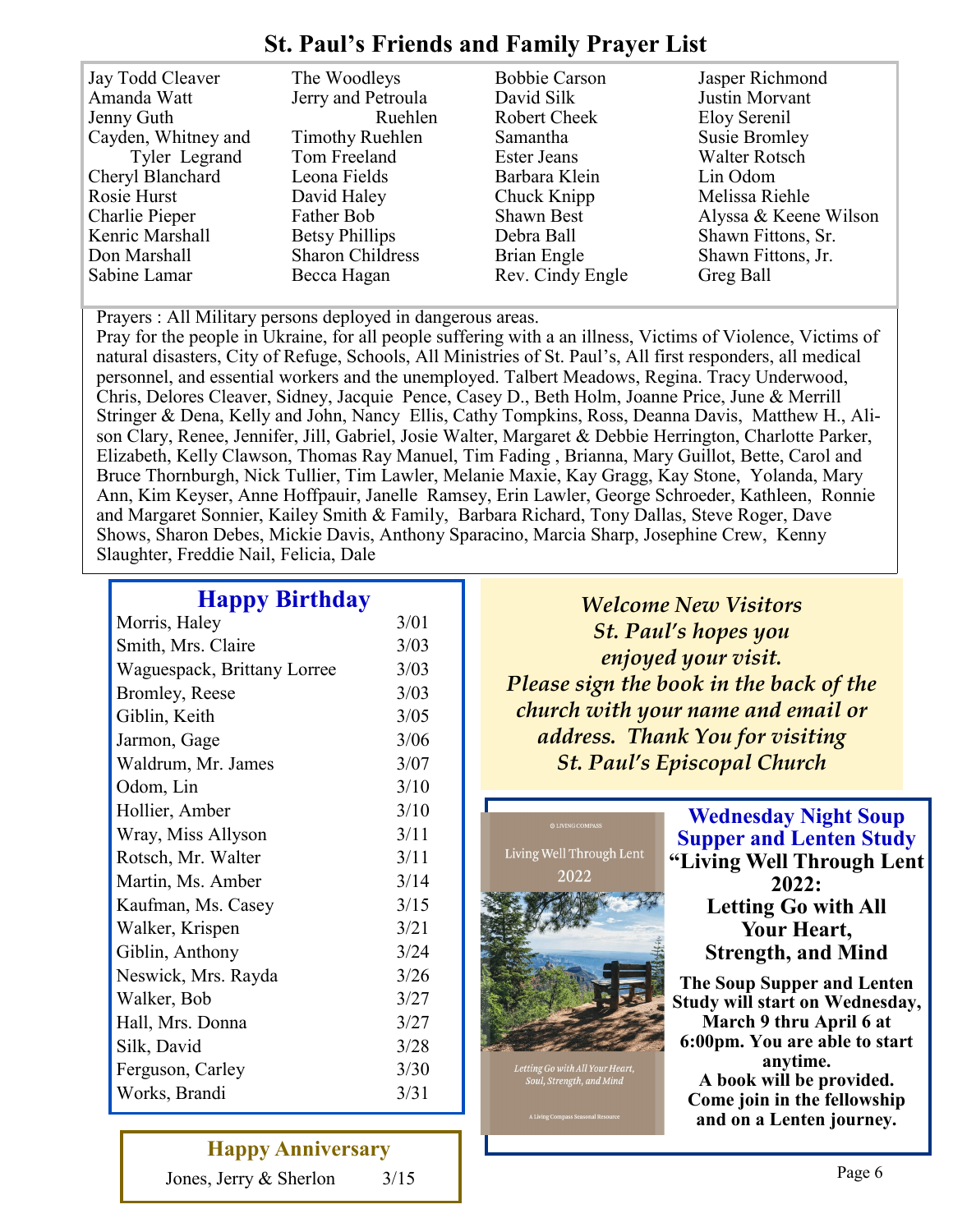# **St. Paul's Friends and Family Prayer List**

| Jay Todd Cleaver    | The Woodleys            | <b>Bobbie Carson</b> | Jasper Richmond       |
|---------------------|-------------------------|----------------------|-----------------------|
| Amanda Watt         | Jerry and Petroula      | David Silk           | Justin Morvant        |
| Jenny Guth          | Ruehlen                 | Robert Cheek         | Eloy Serenil          |
| Cayden, Whitney and | <b>Timothy Ruehlen</b>  | Samantha             | <b>Susie Bromley</b>  |
| Tyler Legrand       | Tom Freeland            | <b>Ester Jeans</b>   | Walter Rotsch         |
| Cheryl Blanchard    | Leona Fields            | Barbara Klein        | Lin Odom              |
| Rosie Hurst         | David Haley             | Chuck Knipp          | Melissa Riehle        |
| Charlie Pieper      | Father Bob              | <b>Shawn Best</b>    | Alyssa & Keene Wilson |
| Kenric Marshall     | <b>Betsy Phillips</b>   | Debra Ball           | Shawn Fittons, Sr.    |
| Don Marshall        | <b>Sharon Childress</b> | Brian Engle          | Shawn Fittons, Jr.    |
| Sabine Lamar        | Becca Hagan             | Rev. Cindy Engle     | Greg Ball             |

Prayers : All Military persons deployed in dangerous areas.

Pray for the people in Ukraine, for all people suffering with a an illness, Victims of Violence, Victims of natural disasters, City of Refuge, Schools, All Ministries of St. Paul's, All first responders, all medical personnel, and essential workers and the unemployed. Talbert Meadows, Regina. Tracy Underwood, Chris, Delores Cleaver, Sidney, Jacquie Pence, Casey D., Beth Holm, Joanne Price, June & Merrill Stringer & Dena, Kelly and John, Nancy Ellis, Cathy Tompkins, Ross, Deanna Davis, Matthew H., Alison Clary, Renee, Jennifer, Jill, Gabriel, Josie Walter, Margaret & Debbie Herrington, Charlotte Parker, Elizabeth, Kelly Clawson, Thomas Ray Manuel, Tim Fading , Brianna, Mary Guillot, Bette, Carol and Bruce Thornburgh, Nick Tullier, Tim Lawler, Melanie Maxie, Kay Gragg, Kay Stone, Yolanda, Mary Ann, Kim Keyser, Anne Hoffpauir, Janelle Ramsey, Erin Lawler, George Schroeder, Kathleen, Ronnie and Margaret Sonnier, Kailey Smith & Family, Barbara Richard, Tony Dallas, Steve Roger, Dave Shows, Sharon Debes, Mickie Davis, Anthony Sparacino, Marcia Sharp, Josephine Crew, Kenny Slaughter, Freddie Nail, Felicia, Dale

## **Happy Birthday**

| $\mathbf{m}$                |      |
|-----------------------------|------|
| Morris, Haley               | 3/01 |
| Smith, Mrs. Claire          | 3/03 |
| Waguespack, Brittany Lorree | 3/03 |
| <b>Bromley, Reese</b>       | 3/03 |
| Giblin, Keith               | 3/05 |
| Jarmon, Gage                | 3/06 |
| Waldrum, Mr. James          | 3/07 |
| Odom, Lin                   | 3/10 |
| Hollier, Amber              | 3/10 |
| Wray, Miss Allyson          | 3/11 |
| Rotsch, Mr. Walter          | 3/11 |
| Martin, Ms. Amber           | 3/14 |
| Kaufman, Ms. Casey          | 3/15 |
| Walker, Krispen             | 3/21 |
| Giblin, Anthony             | 3/24 |
| Neswick, Mrs. Rayda         | 3/26 |
| Walker, Bob                 | 3/27 |
| Hall, Mrs. Donna            | 3/27 |
| Silk, David                 | 3/28 |
| Ferguson, Carley            | 3/30 |
| Works, Brandi               | 3/31 |
|                             |      |

 **Happy Anniversary** Jones, Jerry & Sherlon  $3/15$ 

*Welcome New Visitors St. Paul's hopes you enjoyed your visit. Please sign the book in the back of the church with your name and email or address. Thank You for visiting St. Paul's Episcopal Church*



ng Go with All Your He<mark>e</mark><br>ul, Strength, and Mind

**Wednesday Night Soup Supper and Lenten Study "Living Well Through Lent 2022: Letting Go with All Your Heart, Strength, and Mind**

**The Soup Supper and Lenten Study will start on Wednesday, March 9 thru April 6 at 6:00pm. You are able to start anytime. A book will be provided. Come join in the fellowship and on a Lenten journey.**